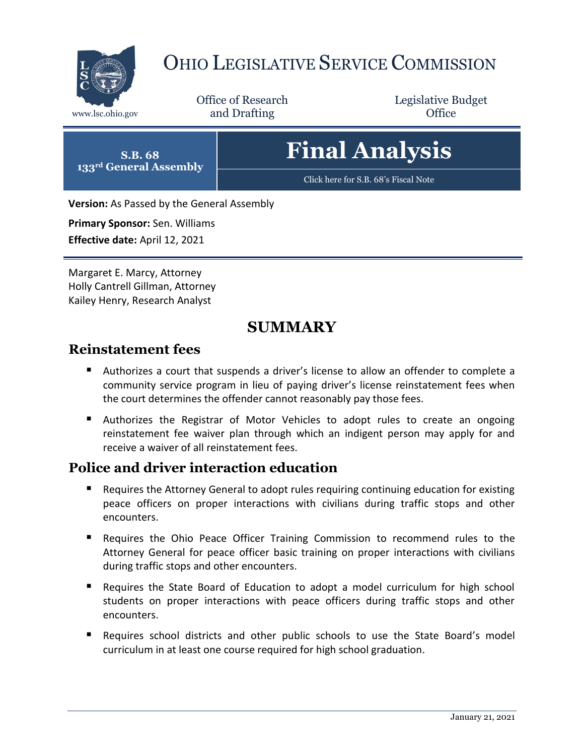

# OHIO LEGISLATIVE SERVICE COMMISSION

Office of Research www.lsc.ohio.gov **and Drafting Office** 

Legislative Budget

# **Final Analysis**

[Click here for S.B. 68](https://www.legislature.ohio.gov/legislation/legislation-documents?id=GA133-SB-68)'s Fiscal Note

**Version:** As Passed by the General Assembly

**Primary Sponsor:** Sen. Williams **Effective date:** April 12, 2021

**S.B. 68 133rd General Assembly**

Margaret E. Marcy, Attorney Holly Cantrell Gillman, Attorney Kailey Henry, Research Analyst

# **SUMMARY**

## **Reinstatement fees**

- Authorizes a court that suspends a driver's license to allow an offender to complete a community service program in lieu of paying driver's license reinstatement fees when the court determines the offender cannot reasonably pay those fees.
- Authorizes the Registrar of Motor Vehicles to adopt rules to create an ongoing reinstatement fee waiver plan through which an indigent person may apply for and receive a waiver of all reinstatement fees.

## **Police and driver interaction education**

- Requires the Attorney General to adopt rules requiring continuing education for existing peace officers on proper interactions with civilians during traffic stops and other encounters.
- Requires the Ohio Peace Officer Training Commission to recommend rules to the Attorney General for peace officer basic training on proper interactions with civilians during traffic stops and other encounters.
- Requires the State Board of Education to adopt a model curriculum for high school students on proper interactions with peace officers during traffic stops and other encounters.
- Requires school districts and other public schools to use the State Board's model curriculum in at least one course required for high school graduation.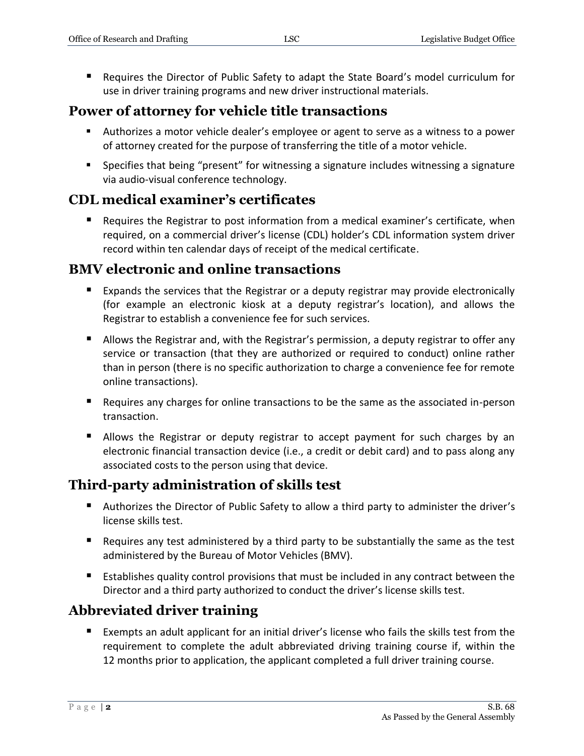Requires the Director of Public Safety to adapt the State Board's model curriculum for use in driver training programs and new driver instructional materials.

# **Power of attorney for vehicle title transactions**

- Authorizes a motor vehicle dealer's employee or agent to serve as a witness to a power of attorney created for the purpose of transferring the title of a motor vehicle.
- Specifies that being "present" for witnessing a signature includes witnessing a signature via audio-visual conference technology.

# **CDL medical examiner's certificates**

 Requires the Registrar to post information from a medical examiner's certificate, when required, on a commercial driver's license (CDL) holder's CDL information system driver record within ten calendar days of receipt of the medical certificate.

# **BMV electronic and online transactions**

- Expands the services that the Registrar or a deputy registrar may provide electronically (for example an electronic kiosk at a deputy registrar's location), and allows the Registrar to establish a convenience fee for such services.
- Allows the Registrar and, with the Registrar's permission, a deputy registrar to offer any service or transaction (that they are authorized or required to conduct) online rather than in person (there is no specific authorization to charge a convenience fee for remote online transactions).
- Requires any charges for online transactions to be the same as the associated in-person transaction.
- Allows the Registrar or deputy registrar to accept payment for such charges by an electronic financial transaction device (i.e., a credit or debit card) and to pass along any associated costs to the person using that device.

# **Third-party administration of skills test**

- Authorizes the Director of Public Safety to allow a third party to administer the driver's license skills test.
- Requires any test administered by a third party to be substantially the same as the test administered by the Bureau of Motor Vehicles (BMV).
- Establishes quality control provisions that must be included in any contract between the Director and a third party authorized to conduct the driver's license skills test.

# **Abbreviated driver training**

 Exempts an adult applicant for an initial driver's license who fails the skills test from the requirement to complete the adult abbreviated driving training course if, within the 12 months prior to application, the applicant completed a full driver training course.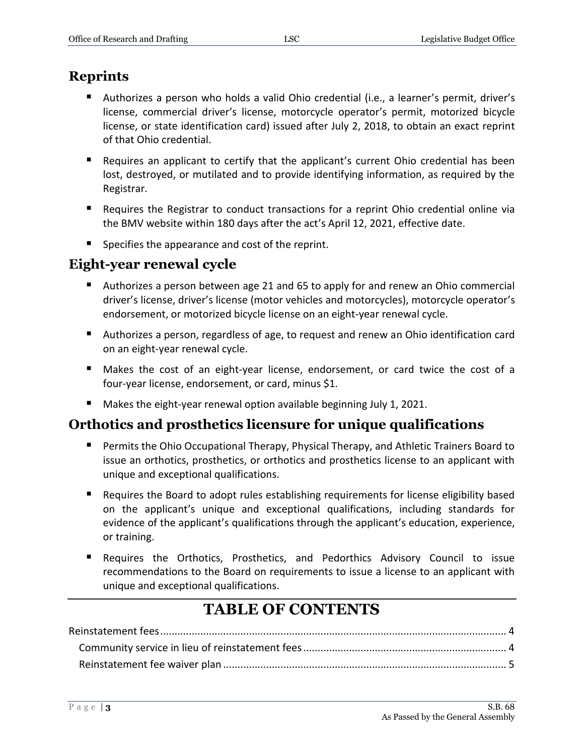# **Reprints**

- Authorizes a person who holds a valid Ohio credential (i.e., a learner's permit, driver's license, commercial driver's license, motorcycle operator's permit, motorized bicycle license, or state identification card) issued after July 2, 2018, to obtain an exact reprint of that Ohio credential.
- Requires an applicant to certify that the applicant's current Ohio credential has been lost, destroyed, or mutilated and to provide identifying information, as required by the Registrar.
- **Requires the Registrar to conduct transactions for a reprint Ohio credential online via** the BMV website within 180 days after the act's April 12, 2021, effective date.
- Specifies the appearance and cost of the reprint.

# **Eight-year renewal cycle**

- Authorizes a person between age 21 and 65 to apply for and renew an Ohio commercial driver's license, driver's license (motor vehicles and motorcycles), motorcycle operator's endorsement, or motorized bicycle license on an eight-year renewal cycle.
- Authorizes a person, regardless of age, to request and renew an Ohio identification card on an eight-year renewal cycle.
- Makes the cost of an eight-year license, endorsement, or card twice the cost of a four-year license, endorsement, or card, minus \$1.
- Makes the eight-year renewal option available beginning July 1, 2021.

# **Orthotics and prosthetics licensure for unique qualifications**

- **Permits the Ohio Occupational Therapy, Physical Therapy, and Athletic Trainers Board to** issue an orthotics, prosthetics, or orthotics and prosthetics license to an applicant with unique and exceptional qualifications.
- Requires the Board to adopt rules establishing requirements for license eligibility based on the applicant's unique and exceptional qualifications, including standards for evidence of the applicant's qualifications through the applicant's education, experience, or training.
- Requires the Orthotics, Prosthetics, and Pedorthics Advisory Council to issue recommendations to the Board on requirements to issue a license to an applicant with unique and exceptional qualifications.

# **TABLE OF CONTENTS**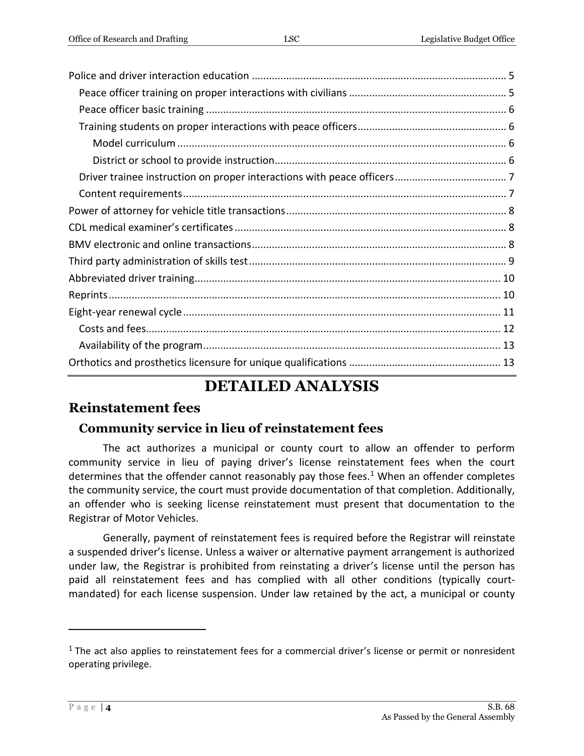# **DETAILED ANALYSIS**

## <span id="page-3-0"></span>**Reinstatement fees**

#### <span id="page-3-1"></span>**Community service in lieu of reinstatement fees**

The act authorizes a municipal or county court to allow an offender to perform community service in lieu of paying driver's license reinstatement fees when the court determines that the offender cannot reasonably pay those fees.<sup>1</sup> When an offender completes the community service, the court must provide documentation of that completion. Additionally, an offender who is seeking license reinstatement must present that documentation to the Registrar of Motor Vehicles.

Generally, payment of reinstatement fees is required before the Registrar will reinstate a suspended driver's license. Unless a waiver or alternative payment arrangement is authorized under law, the Registrar is prohibited from reinstating a driver's license until the person has paid all reinstatement fees and has complied with all other conditions (typically courtmandated) for each license suspension. Under law retained by the act, a municipal or county

 $1$  The act also applies to reinstatement fees for a commercial driver's license or permit or nonresident operating privilege.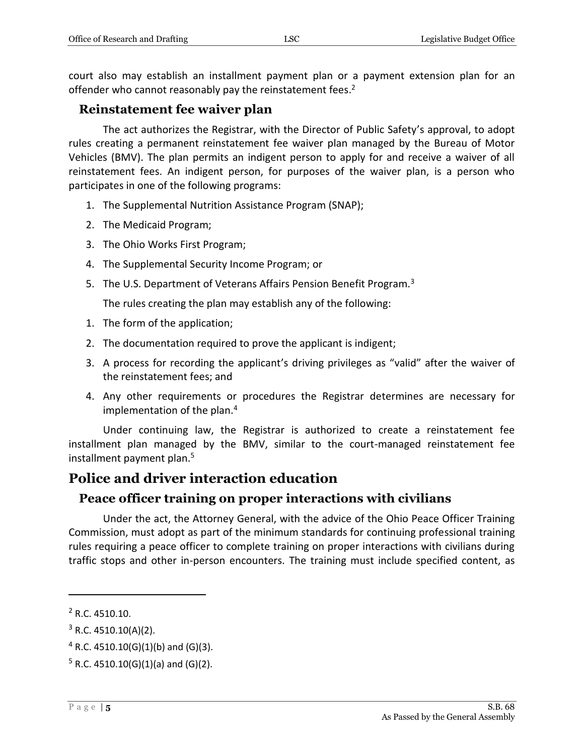court also may establish an installment payment plan or a payment extension plan for an offender who cannot reasonably pay the reinstatement fees.<sup>2</sup>

#### <span id="page-4-0"></span>**Reinstatement fee waiver plan**

The act authorizes the Registrar, with the Director of Public Safety's approval, to adopt rules creating a permanent reinstatement fee waiver plan managed by the Bureau of Motor Vehicles (BMV). The plan permits an indigent person to apply for and receive a waiver of all reinstatement fees. An indigent person, for purposes of the waiver plan, is a person who participates in one of the following programs:

- 1. The Supplemental Nutrition Assistance Program (SNAP);
- 2. The Medicaid Program;
- 3. The Ohio Works First Program;
- 4. The Supplemental Security Income Program; or
- 5. The U.S. Department of Veterans Affairs Pension Benefit Program.<sup>3</sup>

The rules creating the plan may establish any of the following:

- 1. The form of the application;
- 2. The documentation required to prove the applicant is indigent;
- 3. A process for recording the applicant's driving privileges as "valid" after the waiver of the reinstatement fees; and
- 4. Any other requirements or procedures the Registrar determines are necessary for implementation of the plan.<sup>4</sup>

Under continuing law, the Registrar is authorized to create a reinstatement fee installment plan managed by the BMV, similar to the court-managed reinstatement fee installment payment plan.<sup>5</sup>

# <span id="page-4-1"></span>**Police and driver interaction education**

#### <span id="page-4-2"></span>**Peace officer training on proper interactions with civilians**

Under the act, the Attorney General, with the advice of the Ohio Peace Officer Training Commission, must adopt as part of the minimum standards for continuing professional training rules requiring a peace officer to complete training on proper interactions with civilians during traffic stops and other in-person encounters. The training must include specified content, as

<sup>2</sup> R.C. 4510.10.

 $3$  R.C. 4510.10(A)(2).

 $4$  R.C. 4510.10(G)(1)(b) and (G)(3).

 $5$  R.C. 4510.10(G)(1)(a) and (G)(2).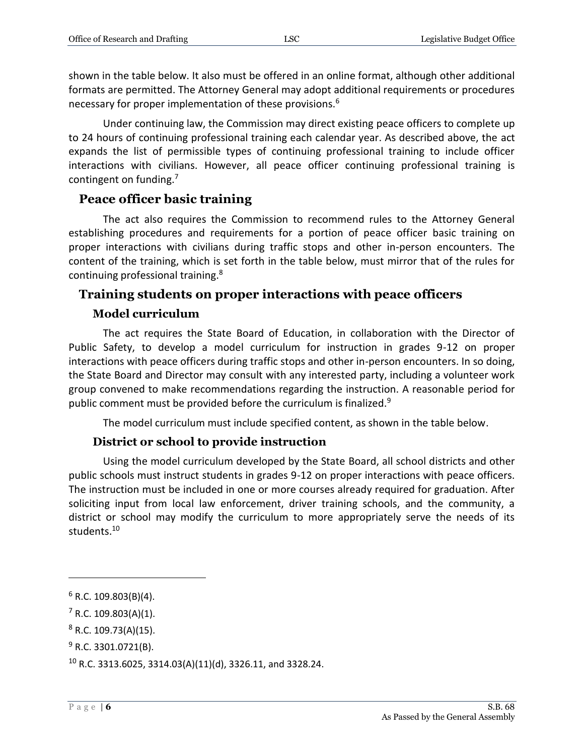shown in the table below. It also must be offered in an online format, although other additional formats are permitted. The Attorney General may adopt additional requirements or procedures necessary for proper implementation of these provisions.<sup>6</sup>

Under continuing law, the Commission may direct existing peace officers to complete up to 24 hours of continuing professional training each calendar year. As described above, the act expands the list of permissible types of continuing professional training to include officer interactions with civilians. However, all peace officer continuing professional training is contingent on funding.<sup>7</sup>

#### <span id="page-5-0"></span>**Peace officer basic training**

The act also requires the Commission to recommend rules to the Attorney General establishing procedures and requirements for a portion of peace officer basic training on proper interactions with civilians during traffic stops and other in-person encounters. The content of the training, which is set forth in the table below, must mirror that of the rules for continuing professional training.<sup>8</sup>

#### <span id="page-5-1"></span>**Training students on proper interactions with peace officers**

#### **Model curriculum**

<span id="page-5-2"></span>The act requires the State Board of Education, in collaboration with the Director of Public Safety, to develop a model curriculum for instruction in grades 9-12 on proper interactions with peace officers during traffic stops and other in-person encounters. In so doing, the State Board and Director may consult with any interested party, including a volunteer work group convened to make recommendations regarding the instruction. A reasonable period for public comment must be provided before the curriculum is finalized.<sup>9</sup>

The model curriculum must include specified content, as shown in the table below.

#### **District or school to provide instruction**

<span id="page-5-3"></span>Using the model curriculum developed by the State Board, all school districts and other public schools must instruct students in grades 9-12 on proper interactions with peace officers. The instruction must be included in one or more courses already required for graduation. After soliciting input from local law enforcement, driver training schools, and the community, a district or school may modify the curriculum to more appropriately serve the needs of its students.<sup>10</sup>

 $6$  R.C. 109.803(B)(4).

 $7 R.C. 109.803(A)(1)$ .

 $8$  R.C. 109.73(A)(15).

 $9$  R.C. 3301.0721(B).

 $10$  R.C. 3313.6025, 3314.03(A)(11)(d), 3326.11, and 3328.24.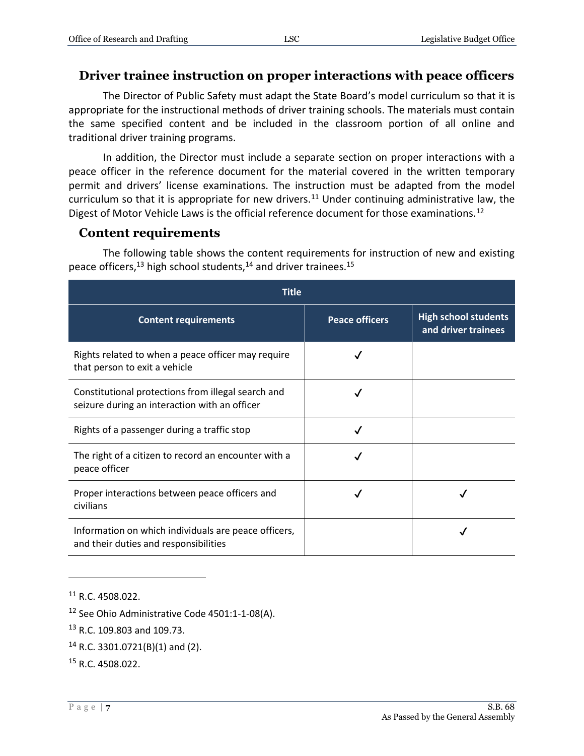#### <span id="page-6-0"></span>**Driver trainee instruction on proper interactions with peace officers**

The Director of Public Safety must adapt the State Board's model curriculum so that it is appropriate for the instructional methods of driver training schools. The materials must contain the same specified content and be included in the classroom portion of all online and traditional driver training programs.

In addition, the Director must include a separate section on proper interactions with a peace officer in the reference document for the material covered in the written temporary permit and drivers' license examinations. The instruction must be adapted from the model curriculum so that it is appropriate for new drivers.<sup>11</sup> Under continuing administrative law, the Digest of Motor Vehicle Laws is the official reference document for those examinations.<sup>12</sup>

#### <span id="page-6-1"></span>**Content requirements**

The following table shows the content requirements for instruction of new and existing peace officers,<sup>13</sup> high school students,<sup>14</sup> and driver trainees.<sup>15</sup>

| <b>Title</b>                                                                                        |                       |                                                    |  |  |  |
|-----------------------------------------------------------------------------------------------------|-----------------------|----------------------------------------------------|--|--|--|
| <b>Content requirements</b>                                                                         | <b>Peace officers</b> | <b>High school students</b><br>and driver trainees |  |  |  |
| Rights related to when a peace officer may require<br>that person to exit a vehicle                 |                       |                                                    |  |  |  |
| Constitutional protections from illegal search and<br>seizure during an interaction with an officer |                       |                                                    |  |  |  |
| Rights of a passenger during a traffic stop                                                         |                       |                                                    |  |  |  |
| The right of a citizen to record an encounter with a<br>peace officer                               |                       |                                                    |  |  |  |
| Proper interactions between peace officers and<br>civilians                                         |                       |                                                    |  |  |  |
| Information on which individuals are peace officers,<br>and their duties and responsibilities       |                       |                                                    |  |  |  |

<sup>&</sup>lt;sup>11</sup> R.C. 4508.022.

- <sup>13</sup> R.C. 109.803 and 109.73.
- <sup>14</sup> R.C. 3301.0721(B)(1) and (2).
- <sup>15</sup> R.C. 4508.022.

<sup>&</sup>lt;sup>12</sup> See Ohio Administrative Code 4501:1-1-08(A).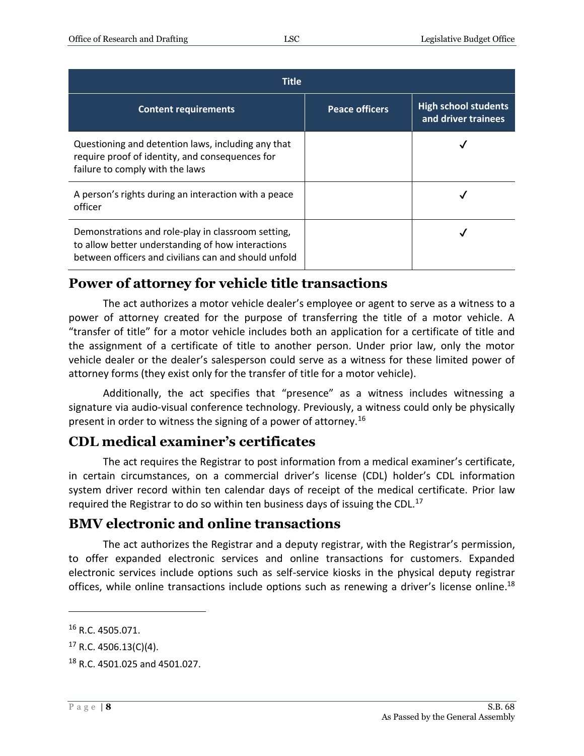| <b>Title</b>                                                                                                                                                    |                       |                                                    |  |  |
|-----------------------------------------------------------------------------------------------------------------------------------------------------------------|-----------------------|----------------------------------------------------|--|--|
| <b>Content requirements</b>                                                                                                                                     | <b>Peace officers</b> | <b>High school students</b><br>and driver trainees |  |  |
| Questioning and detention laws, including any that<br>require proof of identity, and consequences for<br>failure to comply with the laws                        |                       |                                                    |  |  |
| A person's rights during an interaction with a peace<br>officer                                                                                                 |                       |                                                    |  |  |
| Demonstrations and role-play in classroom setting,<br>to allow better understanding of how interactions<br>between officers and civilians can and should unfold |                       |                                                    |  |  |

# <span id="page-7-0"></span>**Power of attorney for vehicle title transactions**

The act authorizes a motor vehicle dealer's employee or agent to serve as a witness to a power of attorney created for the purpose of transferring the title of a motor vehicle. A "transfer of title" for a motor vehicle includes both an application for a certificate of title and the assignment of a certificate of title to another person. Under prior law, only the motor vehicle dealer or the dealer's salesperson could serve as a witness for these limited power of attorney forms (they exist only for the transfer of title for a motor vehicle).

Additionally, the act specifies that "presence" as a witness includes witnessing a signature via audio-visual conference technology. Previously, a witness could only be physically present in order to witness the signing of a power of attorney.<sup>16</sup>

# <span id="page-7-1"></span>**CDL medical examiner's certificates**

The act requires the Registrar to post information from a medical examiner's certificate, in certain circumstances, on a commercial driver's license (CDL) holder's CDL information system driver record within ten calendar days of receipt of the medical certificate. Prior law required the Registrar to do so within ten business days of issuing the CDL.<sup>17</sup>

# <span id="page-7-2"></span>**BMV electronic and online transactions**

The act authorizes the Registrar and a deputy registrar, with the Registrar's permission, to offer expanded electronic services and online transactions for customers. Expanded electronic services include options such as self-service kiosks in the physical deputy registrar offices, while online transactions include options such as renewing a driver's license online.<sup>18</sup>

<sup>16</sup> R.C. 4505.071.

 $17$  R.C. 4506.13(C)(4).

<sup>18</sup> R.C. 4501.025 and 4501.027.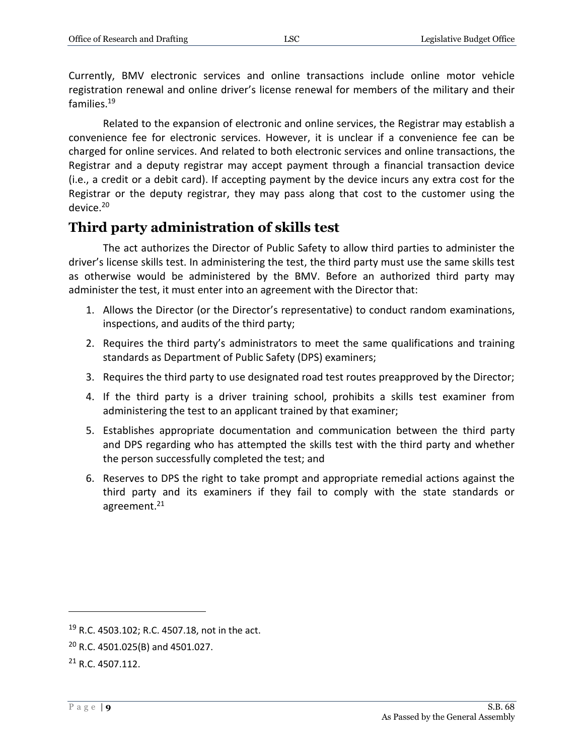Currently, BMV electronic services and online transactions include online motor vehicle registration renewal and online driver's license renewal for members of the military and their families.<sup>19</sup>

Related to the expansion of electronic and online services, the Registrar may establish a convenience fee for electronic services. However, it is unclear if a convenience fee can be charged for online services. And related to both electronic services and online transactions, the Registrar and a deputy registrar may accept payment through a financial transaction device (i.e., a credit or a debit card). If accepting payment by the device incurs any extra cost for the Registrar or the deputy registrar, they may pass along that cost to the customer using the device.<sup>20</sup>

## <span id="page-8-0"></span>**Third party administration of skills test**

The act authorizes the Director of Public Safety to allow third parties to administer the driver's license skills test. In administering the test, the third party must use the same skills test as otherwise would be administered by the BMV. Before an authorized third party may administer the test, it must enter into an agreement with the Director that:

- 1. Allows the Director (or the Director's representative) to conduct random examinations, inspections, and audits of the third party;
- 2. Requires the third party's administrators to meet the same qualifications and training standards as Department of Public Safety (DPS) examiners;
- 3. Requires the third party to use designated road test routes preapproved by the Director;
- 4. If the third party is a driver training school, prohibits a skills test examiner from administering the test to an applicant trained by that examiner;
- 5. Establishes appropriate documentation and communication between the third party and DPS regarding who has attempted the skills test with the third party and whether the person successfully completed the test; and
- 6. Reserves to DPS the right to take prompt and appropriate remedial actions against the third party and its examiners if they fail to comply with the state standards or agreement.<sup>21</sup>

<sup>19</sup> R.C. 4503.102; R.C. 4507.18, not in the act.

<sup>20</sup> R.C. 4501.025(B) and 4501.027.

 $21 R.C. 4507.112.$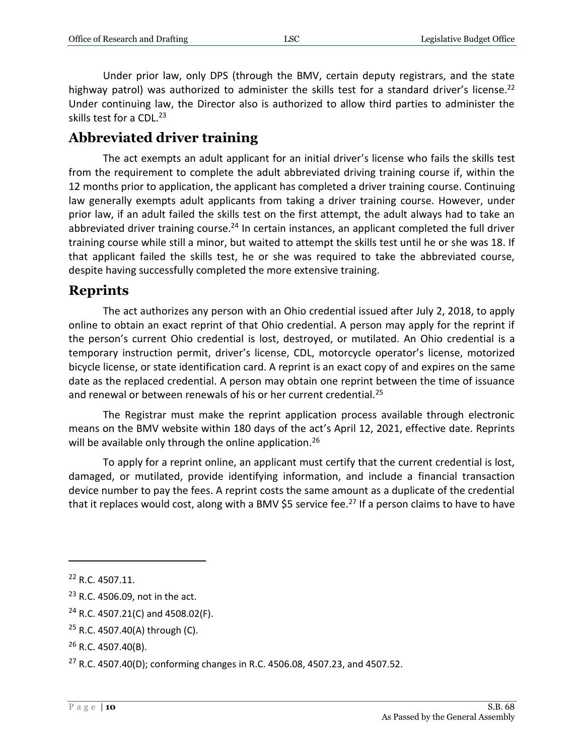Under prior law, only DPS (through the BMV, certain deputy registrars, and the state highway patrol) was authorized to administer the skills test for a standard driver's license.<sup>22</sup> Under continuing law, the Director also is authorized to allow third parties to administer the skills test for a CDL.<sup>23</sup>

## <span id="page-9-0"></span>**Abbreviated driver training**

The act exempts an adult applicant for an initial driver's license who fails the skills test from the requirement to complete the adult abbreviated driving training course if, within the 12 months prior to application, the applicant has completed a driver training course. Continuing law generally exempts adult applicants from taking a driver training course. However, under prior law, if an adult failed the skills test on the first attempt, the adult always had to take an abbreviated driver training course.<sup>24</sup> In certain instances, an applicant completed the full driver training course while still a minor, but waited to attempt the skills test until he or she was 18. If that applicant failed the skills test, he or she was required to take the abbreviated course, despite having successfully completed the more extensive training.

## <span id="page-9-1"></span>**Reprints**

The act authorizes any person with an Ohio credential issued after July 2, 2018, to apply online to obtain an exact reprint of that Ohio credential. A person may apply for the reprint if the person's current Ohio credential is lost, destroyed, or mutilated. An Ohio credential is a temporary instruction permit, driver's license, CDL, motorcycle operator's license, motorized bicycle license, or state identification card. A reprint is an exact copy of and expires on the same date as the replaced credential. A person may obtain one reprint between the time of issuance and renewal or between renewals of his or her current credential.<sup>25</sup>

The Registrar must make the reprint application process available through electronic means on the BMV website within 180 days of the act's April 12, 2021, effective date. Reprints will be available only through the online application.<sup>26</sup>

To apply for a reprint online, an applicant must certify that the current credential is lost, damaged, or mutilated, provide identifying information, and include a financial transaction device number to pay the fees. A reprint costs the same amount as a duplicate of the credential that it replaces would cost, along with a BMV \$5 service fee.<sup>27</sup> If a person claims to have to have

<sup>22</sup> R.C. 4507.11.

<sup>23</sup> R.C. 4506.09, not in the act.

 $24$  R.C. 4507.21(C) and 4508.02(F).

<sup>25</sup> R.C. 4507.40(A) through (C).

 $26$  R.C. 4507.40(B).

<sup>&</sup>lt;sup>27</sup> R.C. 4507.40(D); conforming changes in R.C. 4506.08, 4507.23, and 4507.52.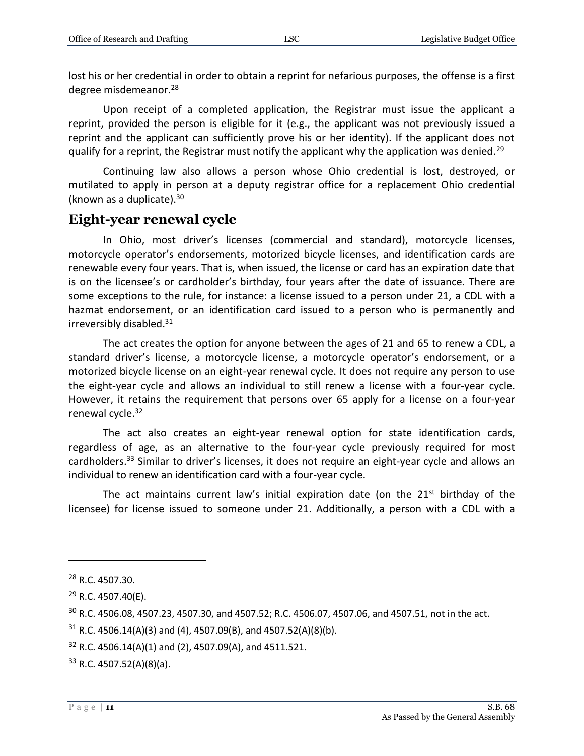lost his or her credential in order to obtain a reprint for nefarious purposes, the offense is a first degree misdemeanor.<sup>28</sup>

Upon receipt of a completed application, the Registrar must issue the applicant a reprint, provided the person is eligible for it (e.g., the applicant was not previously issued a reprint and the applicant can sufficiently prove his or her identity). If the applicant does not qualify for a reprint, the Registrar must notify the applicant why the application was denied.<sup>29</sup>

Continuing law also allows a person whose Ohio credential is lost, destroyed, or mutilated to apply in person at a deputy registrar office for a replacement Ohio credential (known as a duplicate). $30$ 

#### <span id="page-10-0"></span>**Eight-year renewal cycle**

In Ohio, most driver's licenses (commercial and standard), motorcycle licenses, motorcycle operator's endorsements, motorized bicycle licenses, and identification cards are renewable every four years. That is, when issued, the license or card has an expiration date that is on the licensee's or cardholder's birthday, four years after the date of issuance. There are some exceptions to the rule, for instance: a license issued to a person under 21, a CDL with a hazmat endorsement, or an identification card issued to a person who is permanently and irreversibly disabled.<sup>31</sup>

The act creates the option for anyone between the ages of 21 and 65 to renew a CDL, a standard driver's license, a motorcycle license, a motorcycle operator's endorsement, or a motorized bicycle license on an eight-year renewal cycle. It does not require any person to use the eight-year cycle and allows an individual to still renew a license with a four-year cycle. However, it retains the requirement that persons over 65 apply for a license on a four-year renewal cycle. 32

The act also creates an eight-year renewal option for state identification cards, regardless of age, as an alternative to the four-year cycle previously required for most cardholders.<sup>33</sup> Similar to driver's licenses, it does not require an eight-year cycle and allows an individual to renew an identification card with a four-year cycle.

The act maintains current law's initial expiration date (on the  $21<sup>st</sup>$  birthday of the licensee) for license issued to someone under 21. Additionally, a person with a CDL with a

 $\overline{a}$ 

 $32$  R.C. 4506.14(A)(1) and (2), 4507.09(A), and 4511.521.

 $33$  R.C. 4507.52(A)(8)(a).

<sup>28</sup> R.C. 4507.30.

<sup>29</sup> R.C. 4507.40(E).

<sup>30</sup> R.C. 4506.08, 4507.23, 4507.30, and 4507.52; R.C. 4506.07, 4507.06, and 4507.51, not in the act.

 $31$  R.C. 4506.14(A)(3) and (4), 4507.09(B), and 4507.52(A)(8)(b).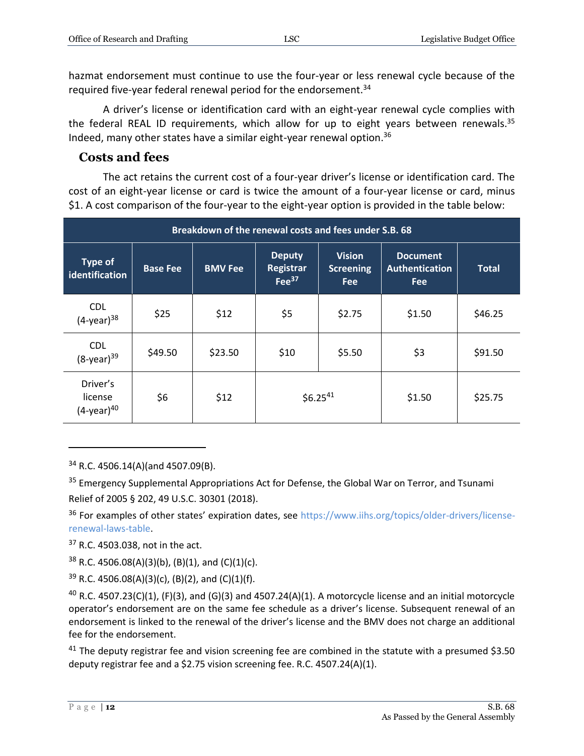hazmat endorsement must continue to use the four-year or less renewal cycle because of the required five-year federal renewal period for the endorsement.<sup>34</sup>

A driver's license or identification card with an eight-year renewal cycle complies with the federal REAL ID requirements, which allow for up to eight years between renewals.<sup>35</sup> Indeed, many other states have a similar eight-year renewal option. $36$ 

#### <span id="page-11-0"></span>**Costs and fees**

The act retains the current cost of a four-year driver's license or identification card. The cost of an eight-year license or card is twice the amount of a four-year license or card, minus \$1. A cost comparison of the four-year to the eight-year option is provided in the table below:

| Breakdown of the renewal costs and fees under S.B. 68 |                 |                |                                                  |                                                 |                                                 |              |
|-------------------------------------------------------|-----------------|----------------|--------------------------------------------------|-------------------------------------------------|-------------------------------------------------|--------------|
| <b>Type of</b><br>identification                      | <b>Base Fee</b> | <b>BMV Fee</b> | <b>Deputy</b><br><b>Registrar</b><br>Fee $^{37}$ | <b>Vision</b><br><b>Screening</b><br><b>Fee</b> | <b>Document</b><br>Authentication<br><b>Fee</b> | <b>Total</b> |
| <b>CDL</b><br>$(4$ -year) <sup>38</sup>               | \$25            | \$12           | \$5                                              | \$2.75                                          | \$1.50                                          | \$46.25      |
| <b>CDL</b><br>$(8$ -year) $39$                        | \$49.50         | \$23.50        | \$10                                             | \$5.50                                          | \$3                                             | \$91.50      |
| Driver's<br>license<br>$(4$ -year) $40$               | \$6             | \$12           | $$6.25^{41}$                                     |                                                 | \$1.50                                          | \$25.75      |

<sup>34</sup> R.C. 4506.14(A)(and 4507.09(B).

<sup>35</sup> Emergency Supplemental Appropriations Act for Defense, the Global War on Terror, and Tsunami Relief of 2005 § 202, 49 U.S.C. 30301 (2018).

<sup>36</sup> For examples of other states' expiration dates, see [https://www.iihs.org/topics/older-drivers/license](https://www.iihs.org/topics/older-drivers/license-renewal-laws-table)[renewal-laws-table.](https://www.iihs.org/topics/older-drivers/license-renewal-laws-table)

<sup>37</sup> R.C. 4503.038, not in the act.

 $38$  R.C. 4506.08(A)(3)(b), (B)(1), and (C)(1)(c).

 $39$  R.C. 4506.08(A)(3)(c), (B)(2), and (C)(1)(f).

 $40$  R.C. 4507.23(C)(1), (F)(3), and (G)(3) and 4507.24(A)(1). A motorcycle license and an initial motorcycle operator's endorsement are on the same fee schedule as a driver's license. Subsequent renewal of an endorsement is linked to the renewal of the driver's license and the BMV does not charge an additional fee for the endorsement.

 $41$  The deputy registrar fee and vision screening fee are combined in the statute with a presumed \$3.50 deputy registrar fee and a \$2.75 vision screening fee. R.C. 4507.24(A)(1).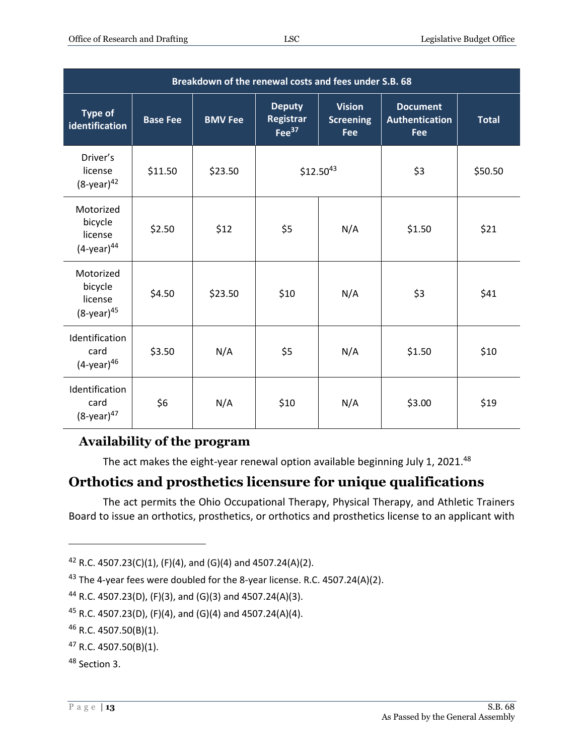| Breakdown of the renewal costs and fees under S.B. 68        |                 |                |                                                       |                                          |                                                        |              |
|--------------------------------------------------------------|-----------------|----------------|-------------------------------------------------------|------------------------------------------|--------------------------------------------------------|--------------|
| <b>Type of</b><br>identification                             | <b>Base Fee</b> | <b>BMV Fee</b> | <b>Deputy</b><br><b>Registrar</b><br>$\text{Fe}^{37}$ | <b>Vision</b><br><b>Screening</b><br>Fee | <b>Document</b><br><b>Authentication</b><br><b>Fee</b> | <b>Total</b> |
| Driver's<br>license<br>$(8$ -year) $42$                      | \$11.50         | \$23.50        |                                                       | $$12.50^{43}$                            | \$3                                                    | \$50.50      |
| Motorized<br>bicycle<br>license<br>$(4$ -year) $44$          | \$2.50          | \$12           | \$5                                                   | N/A                                      | \$1.50                                                 | \$21         |
| Motorized<br>bicycle<br>license<br>$(8$ -year) <sup>45</sup> | \$4.50          | \$23.50        | \$10                                                  | N/A                                      | \$3                                                    | \$41         |
| Identification<br>card<br>$(4$ -year) $46$                   | \$3.50          | N/A            | \$5                                                   | N/A                                      | \$1.50                                                 | \$10         |
| Identification<br>card<br>$(8$ -year) <sup>47</sup>          | \$6             | N/A            | \$10                                                  | N/A                                      | \$3.00                                                 | \$19         |

## <span id="page-12-0"></span>**Availability of the program**

The act makes the eight-year renewal option available beginning July 1, 2021.<sup>48</sup>

# <span id="page-12-1"></span>**Orthotics and prosthetics licensure for unique qualifications**

The act permits the Ohio Occupational Therapy, Physical Therapy, and Athletic Trainers Board to issue an orthotics, prosthetics, or orthotics and prosthetics license to an applicant with

<sup>&</sup>lt;sup>42</sup> R.C. 4507.23(C)(1), (F)(4), and (G)(4) and 4507.24(A)(2).

<sup>&</sup>lt;sup>43</sup> The 4-year fees were doubled for the 8-year license. R.C. 4507.24(A)(2).

<sup>&</sup>lt;sup>44</sup> R.C. 4507.23(D), (F)(3), and (G)(3) and 4507.24(A)(3).

<sup>&</sup>lt;sup>45</sup> R.C. 4507.23(D), (F)(4), and (G)(4) and 4507.24(A)(4).

<sup>46</sup> R.C. 4507.50(B)(1).

 $47$  R.C. 4507.50(B)(1).

<sup>48</sup> Section 3.